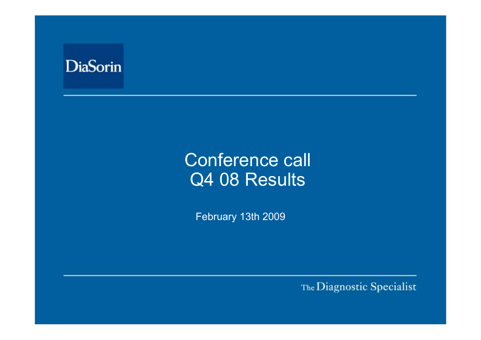

# Conference call Q4 08 Results

February 13th 2009

The Diagnostic Specialist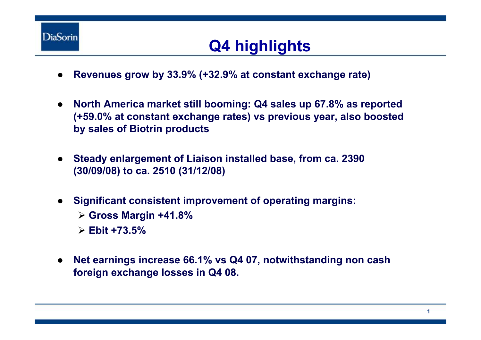

## **Q4 highlights**

- ●**Revenues grow by 33.9% (+32.9% at constant exchange rate)**
- ● **North America market still booming: Q4 sales up 67.8% as reported (+59.0% at constant exchange rates) vs previous year, also boosted by sales of Biotrin products**
- $\bullet$  **Steady enlargement of Liaison installed base, from ca. 2390 (30/09/08) to ca. 2510 (31/12/08)**
- ● **Significant consistent improvement of operating margins:**  ¾ **Gross Margin +41.8%** ¾ **Ebit +73.5%**
- ● **Net earnings increase 66.1% vs Q4 07, notwithstanding non cash foreign exchange losses in Q4 08.**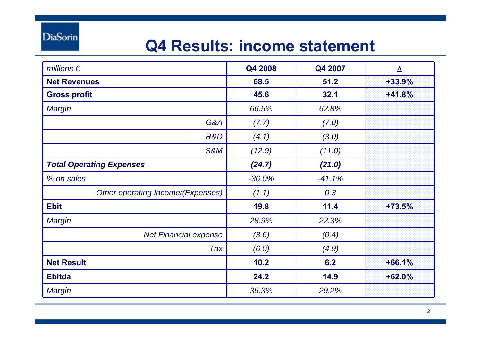**DiaSorin** 

## **Q4 Results: income statement**

| millions $\epsilon$               | Q4 2008  | Q4 2007  | $\Delta$ |
|-----------------------------------|----------|----------|----------|
| <b>Net Revenues</b>               | 68.5     | 51.2     | $+33.9%$ |
| <b>Gross profit</b>               | 45.6     | 32.1     | $+41.8%$ |
| <b>Margin</b>                     | 66.5%    | 62.8%    |          |
| G&A                               | (7.7)    | (7.0)    |          |
| R&D                               | (4.1)    | (3.0)    |          |
| S&M                               | (12.9)   | (11.0)   |          |
| <b>Total Operating Expenses</b>   | (24.7)   | (21.0)   |          |
| % on sales                        | $-36.0%$ | $-41.1%$ |          |
| Other operating Income/(Expenses) | (1.1)    | 0.3      |          |
| <b>Ebit</b>                       | 19.8     | 11.4     | $+73.5%$ |
| <b>Margin</b>                     | 28.9%    | 22.3%    |          |
| <b>Net Financial expense</b>      | (3.6)    | (0.4)    |          |
| Tax                               | (6.0)    | (4.9)    |          |
| <b>Net Result</b>                 | 10.2     | 6.2      | $+66.1%$ |
| <b>Ebitda</b>                     | 24.2     | 14.9     | $+62.0%$ |
| <b>Margin</b>                     | 35.3%    | 29.2%    |          |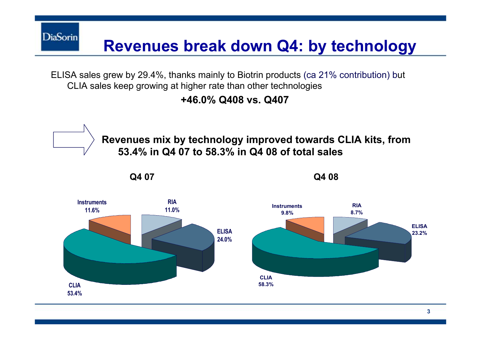**Revenues break down Q4: by technology**

ELISA sales grew by 29.4%, thanks mainly to Biotrin products (ca 21% contribution) but CLIA sales keep growing at higher rate than other technologies

**DiaSorin** 

**+46.0% Q408 vs. Q407**

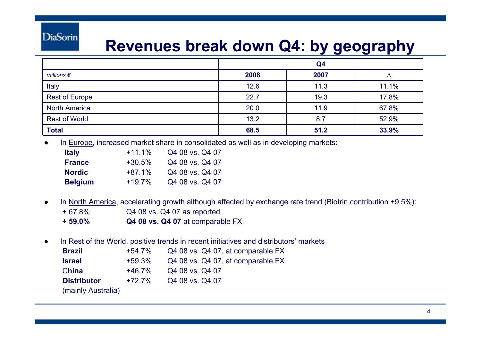#### **DiaSorin**

#### **Revenues break down Q4: by geography**

|                       | Q4   |      |       |
|-----------------------|------|------|-------|
| millions $\epsilon$   | 2008 | 2007 |       |
| Italy                 | 12.6 | 11.3 | 11.1% |
| <b>Rest of Europe</b> | 22.7 | 19.3 | 17.8% |
| <b>North America</b>  | 20.0 | 11.9 | 67.8% |
| <b>Rest of World</b>  | 13.2 | 8.7  | 52.9% |
| <b>Total</b>          | 68.5 | 51.2 | 33.9% |

●In Europe, increased market share in consolidated as well as in developing markets:

| ltaly   | $+11.1%$ | Q4 08 vs. Q4 07 |
|---------|----------|-----------------|
| France  | $+30.5%$ | Q4 08 vs. Q4 07 |
| Nordic  | $+87.1%$ | Q4 08 vs. Q4 07 |
| Belgium | $+19.7%$ | Q4 08 vs. Q4 07 |

- ● In North America, accelerating growth although affected by exchange rate trend (Biotrin contribution +9.5%): + 67.8% Q4 08 vs. Q4 07 as reported **+ 59.0%Q4 08 vs. Q4 07** at comparable FX
- ●In Rest of the World, positive trends in recent initiatives and distributors' markets

| <b>Brazil</b>      | $+54.7\%$ | Q4 08 vs. Q4 07, at comparable FX |
|--------------------|-----------|-----------------------------------|
| <b>Israel</b>      | $+59.3%$  | Q4 08 vs. Q4 07, at comparable FX |
| China              | $+46.7\%$ | Q4 08 vs. Q4 07                   |
| <b>Distributor</b> | $+72.7\%$ | Q4 08 vs. Q4 07                   |
| (mainly Australia) |           |                                   |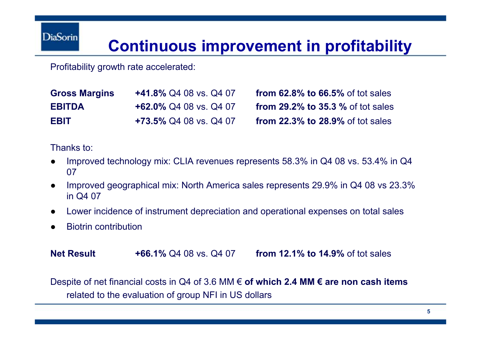#### **Continuous improvement in profitability**

Profitability growth rate accelerated:

| <b>Gross Margins</b> | <b>+41.8% Q4 08 vs. Q4 07</b> |
|----------------------|-------------------------------|
| <b>EBITDA</b>        | $+62.0\%$ Q4 08 vs. Q4 07     |
| EBIT                 | +73.5% Q4 08 vs. Q4 07        |

**from 62.8% to 66.5% of tot sales from 29.2% to 35.3 % of tot sales from 22.3% to 28.9% of tot sales** 

Thanks to:

- ● Improved technology mix: CLIA revenues represents 58.3% in Q4 08 vs. 53.4% in Q4 07
- ● Improved geographical mix: North America sales represents 29.9% in Q4 08 vs 23.3% in Q4 07
- ●Lower incidence of instrument depreciation and operational expenses on total sales
- ●Biotrin contribution

**Net Result+66.1%** Q4 08 vs. Q4 07 **from 12.1% to 14.9%** of tot sales

Despite of net financial costs in Q4 of 3.6 MM € **of which 2.4 MM € are non cash items**  related to the evaluation of group NFI in US dollars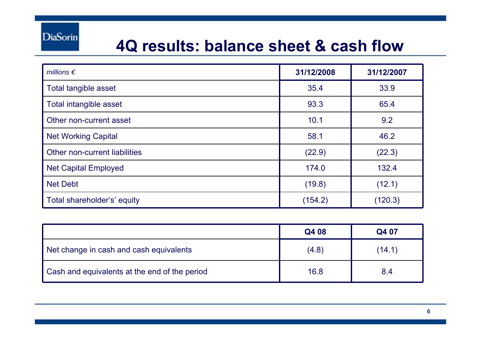#### **4Q results: balance sheet & cash flow**

| millions $\epsilon$           | 31/12/2008 | 31/12/2007 |
|-------------------------------|------------|------------|
| Total tangible asset          | 35.4       | 33.9       |
| Total intangible asset        | 93.3       | 65.4       |
| Other non-current asset       | 10.1       | 9.2        |
| <b>Net Working Capital</b>    | 58.1       | 46.2       |
| Other non-current liabilities | (22.9)     | (22.3)     |
| <b>Net Capital Employed</b>   | 174.0      | 132.4      |
| <b>Net Debt</b>               | (19.8)     | (12.1)     |
| Total shareholder's' equity   | (154.2)    | (120.3)    |

|                                               | Q4 08 | Q4 07  |
|-----------------------------------------------|-------|--------|
| Net change in cash and cash equivalents       | (4.8) | (14.1) |
| Cash and equivalents at the end of the period | 16.8  | 8.4    |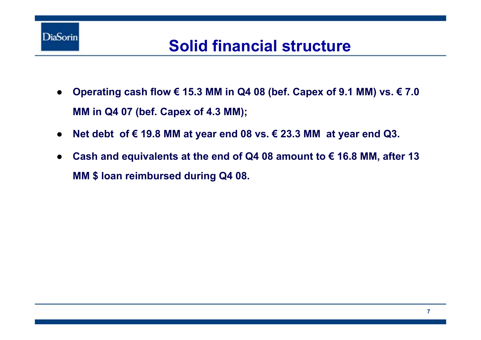

## **Solid financial structure**

- $\bullet$  **Operating cash flow € 15.3 MM in Q4 08 (bef. Capex of 9.1 MM) vs. € 7.0 MM in Q4 07 (bef. Capex of 4.3 MM);**
- ●**Net debt of € 19.8 MM at year end 08 vs. € 23.3 MM at year end Q3.**
- ● **Cash and equivalents at the end of Q4 08 amount to € 16.8 MM, after 13 MM \$ loan reimbursed during Q4 08.**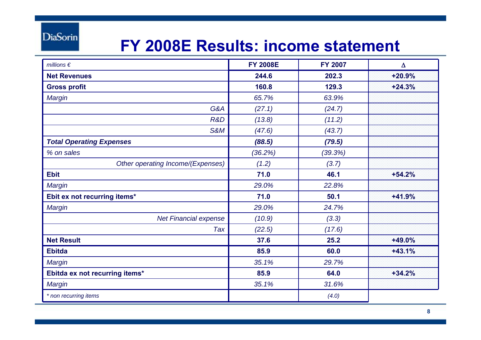**DiaSorin** 

#### **FY 2008E Results: income statement**

| millions $\epsilon$               | <b>FY 2008E</b> | <b>FY 2007</b> | Δ        |
|-----------------------------------|-----------------|----------------|----------|
| <b>Net Revenues</b>               | 244.6           | 202.3          | $+20.9%$ |
| <b>Gross profit</b>               | 160.8           | 129.3          | $+24.3%$ |
| <b>Margin</b>                     | 65.7%           | 63.9%          |          |
| G&A                               | (27.1)          | (24.7)         |          |
| R&D                               | (13.8)          | (11.2)         |          |
| <b>S&amp;M</b>                    | (47.6)          | (43.7)         |          |
| <b>Total Operating Expenses</b>   | (88.5)          | (79.5)         |          |
| % on sales                        | (36.2%)         | (39.3%)        |          |
| Other operating Income/(Expenses) | (1.2)           | (3.7)          |          |
| <b>Ebit</b>                       | 71.0            | 46.1           | $+54.2%$ |
| Margin                            | 29.0%           | 22.8%          |          |
| Ebit ex not recurring items*      | 71.0            | 50.1           | $+41.9%$ |
| <b>Margin</b>                     | 29.0%           | 24.7%          |          |
| <b>Net Financial expense</b>      | (10.9)          | (3.3)          |          |
| Tax                               | (22.5)          | (17.6)         |          |
| <b>Net Result</b>                 | 37.6            | 25.2           | $+49.0%$ |
| <b>Ebitda</b>                     | 85.9            | 60.0           | $+43.1%$ |
| <b>Margin</b>                     | 35.1%           | 29.7%          |          |
| Ebitda ex not recurring items*    | 85.9            | 64.0           | $+34.2%$ |
| Margin                            | 35.1%           | 31.6%          |          |
| * non recurring items             |                 | (4.0)          |          |